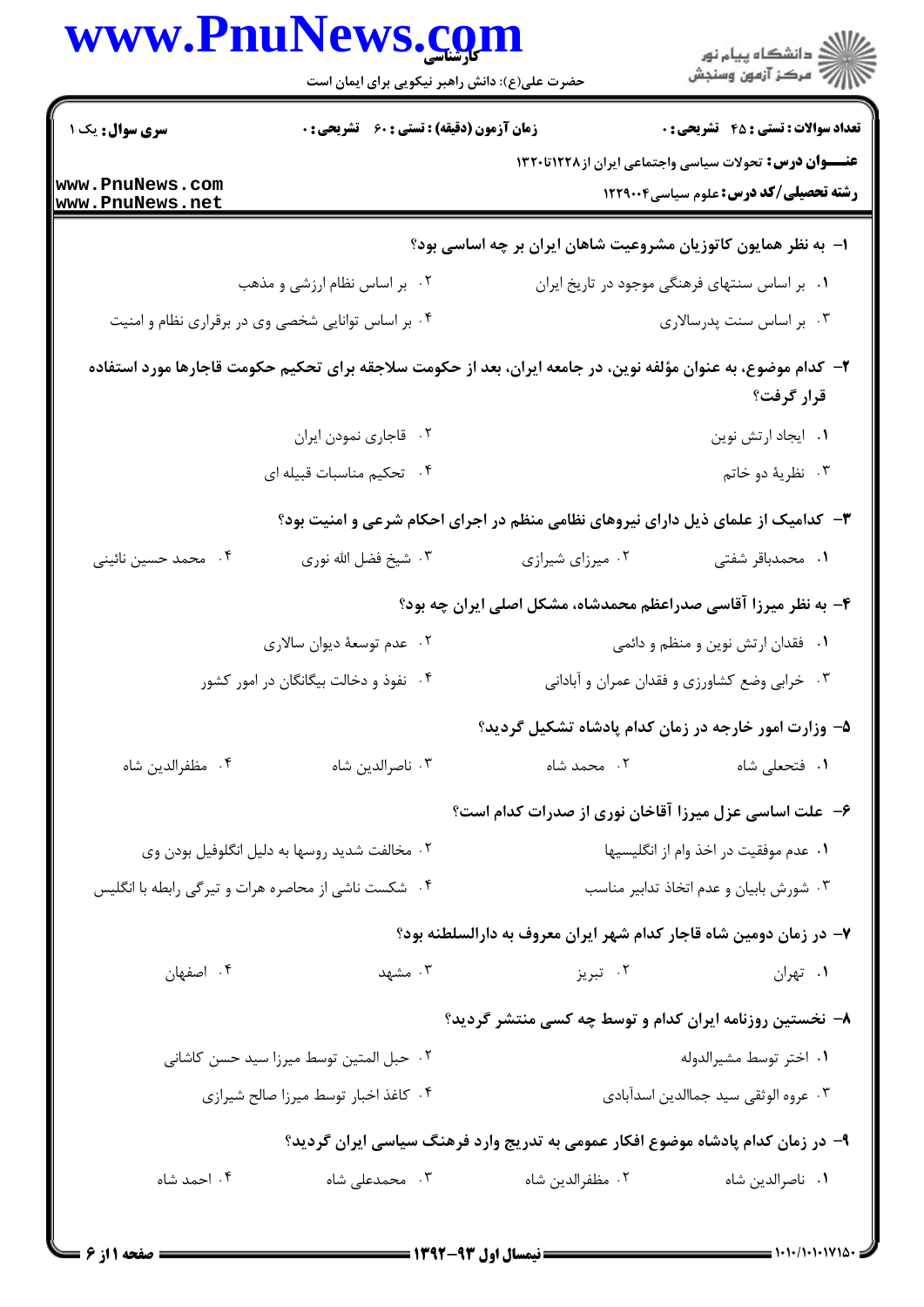|                                    | www.PnuNews.com<br>حضرت علی(ع): دانش راهبر نیکویی برای ایمان است |                                                                                                               | ر<br>دانشڪاه پيام نور)<br>ا                                                                                   |
|------------------------------------|------------------------------------------------------------------|---------------------------------------------------------------------------------------------------------------|---------------------------------------------------------------------------------------------------------------|
| <b>سری سوال :</b> یک ۱             | <b>زمان آزمون (دقیقه) : تستی : 60 ٪ تشریحی : 0</b>               |                                                                                                               | <b>تعداد سوالات : تستي : 45 - تشريحي : 0</b>                                                                  |
| www.PnuNews.com<br>www.PnuNews.net |                                                                  |                                                                                                               | <b>عنـــوان درس:</b> تحولات سیاسی واجتماعی ایران از۱۲۲۸تا۱۳۲۰<br><b>رشته تحصیلی/کد درس:</b> علوم سیاسی1۲۲۹۰۰۴ |
|                                    |                                                                  | ا– به نظر همایون کاتوزیان مشروعیت شاهان ایران بر چه اساسی بود؟                                                |                                                                                                               |
|                                    | ۰۲ بر اساس نظام ارزشی و مذهب                                     |                                                                                                               | ۰۱ بر اساس سنتهای فرهنگی موجود در تاریخ ایران                                                                 |
|                                    | ۰۴ بر اساس توانایی شخصی وی در برقراری نظام و امنیت               |                                                                                                               | ۰۳ بر اساس سنت پدرسالاری                                                                                      |
|                                    |                                                                  | ۲– کدام موضوع، به عنوان مؤلفه نوین، در جامعه ایران، بعد از حکومت سلاجقه برای تحکیم حکومت قاجارها مورد استفاده | قرار گرفت؟                                                                                                    |
|                                    | ٢. قاجاري نمودن ايران                                            |                                                                                                               | ٠١ ايجاد ارتش نوين                                                                                            |
|                                    | ۰۴ تحکیم مناسبات قبیله ای                                        |                                                                                                               | ۰۳ نظريهٔ دو خاتم                                                                                             |
|                                    |                                                                  | ۳- کدامیک از علمای ذیل دارای نیروهای نظامی منظم در اجرای احکام شرعی و امنیت بود؟                              |                                                                                                               |
| ۰۴ محمد حسین نائینی                | ۰۳ شیخ فضل الله نوری                                             | ۰۲ میرزای شیرازی                                                                                              | ۰۱ محمدباقر شفتی                                                                                              |
|                                    |                                                                  | ۴- به نظر میرزا آقاسی صدراعظم محمدشاه، مشکل اصلی ایران چه بود؟                                                |                                                                                                               |
|                                    | ۰۲ عدم توسعهٔ دیوان سالاری                                       |                                                                                                               | ۰۱ فقدان ارتش نوین و منظم و دائمی                                                                             |
|                                    | ۰۴ نفوذ و دخالت بیگانگان در امور کشور                            |                                                                                                               | ۰۳ خرابي وضع كشاورزي و فقدان عمران و أباداني                                                                  |
|                                    |                                                                  | ۵– وزارت امور خارجه در زمان کدام پادشاه تشکیل گردید؟                                                          |                                                                                                               |
| ۰۴ مظفرالدين شاه                   | ۰۳ ناصرالدين شاه                                                 | ۰۲ محمد شاه                                                                                                   | ٠١ فتحعلي شاه                                                                                                 |
|                                    |                                                                  | ۶– علت اساسی عزل میرزا آقاخان نوری از صدرات کدام است؟                                                         |                                                                                                               |
|                                    | ۰۲ مخالفت شدید روسها به دلیل انگلوفیل بودن وی                    |                                                                                                               | ٠١ عدم موفقيت در اخذ وام از انگليسيها                                                                         |
|                                    | ۰۴ شکست ناشی از محاصره هرات و تیرگی رابطه با انگلیس              |                                                                                                               | ۰۳ شورش بابیان و عدم اتخاذ تدابیر مناسب                                                                       |
|                                    |                                                                  | ۷- در زمان دومین شاه قاجار کدام شهر ایران معروف به دارالسلطنه بود؟                                            |                                                                                                               |
| ۰۴ اصفهان                          |                                                                  | ۰۲ تبریز مشهد است.                                                                                            | ٠١ تهران                                                                                                      |
|                                    |                                                                  | ۸– نخستین روزنامه ایران کدام و توسط چه کسی منتشر گردید؟                                                       |                                                                                                               |
|                                    | ٠٢ حبل المتين توسط ميرزا سيد حسن كاشانى                          |                                                                                                               | ٠١ اختر توسط مشيرالدوله                                                                                       |
|                                    | ۰۴ کاغذ اخبار توسط میرزا صالح شیرازی                             |                                                                                                               | ٠٣ عروه الوثقي سيد جماالدين اسدآبادي                                                                          |
|                                    |                                                                  | ۹– در زمان کدام پادشاه موضوع افکار عمومی به تدریج وارد فرهنگ سیاسی ایران گردید؟                               |                                                                                                               |
| ۰۴ احمد شاه                        | ۰۳ محمدعلی شاه                                                   | ٠٢ مظفرالدين شاه                                                                                              | ٠١ ناصرالدين شاه                                                                                              |
|                                    |                                                                  |                                                                                                               |                                                                                                               |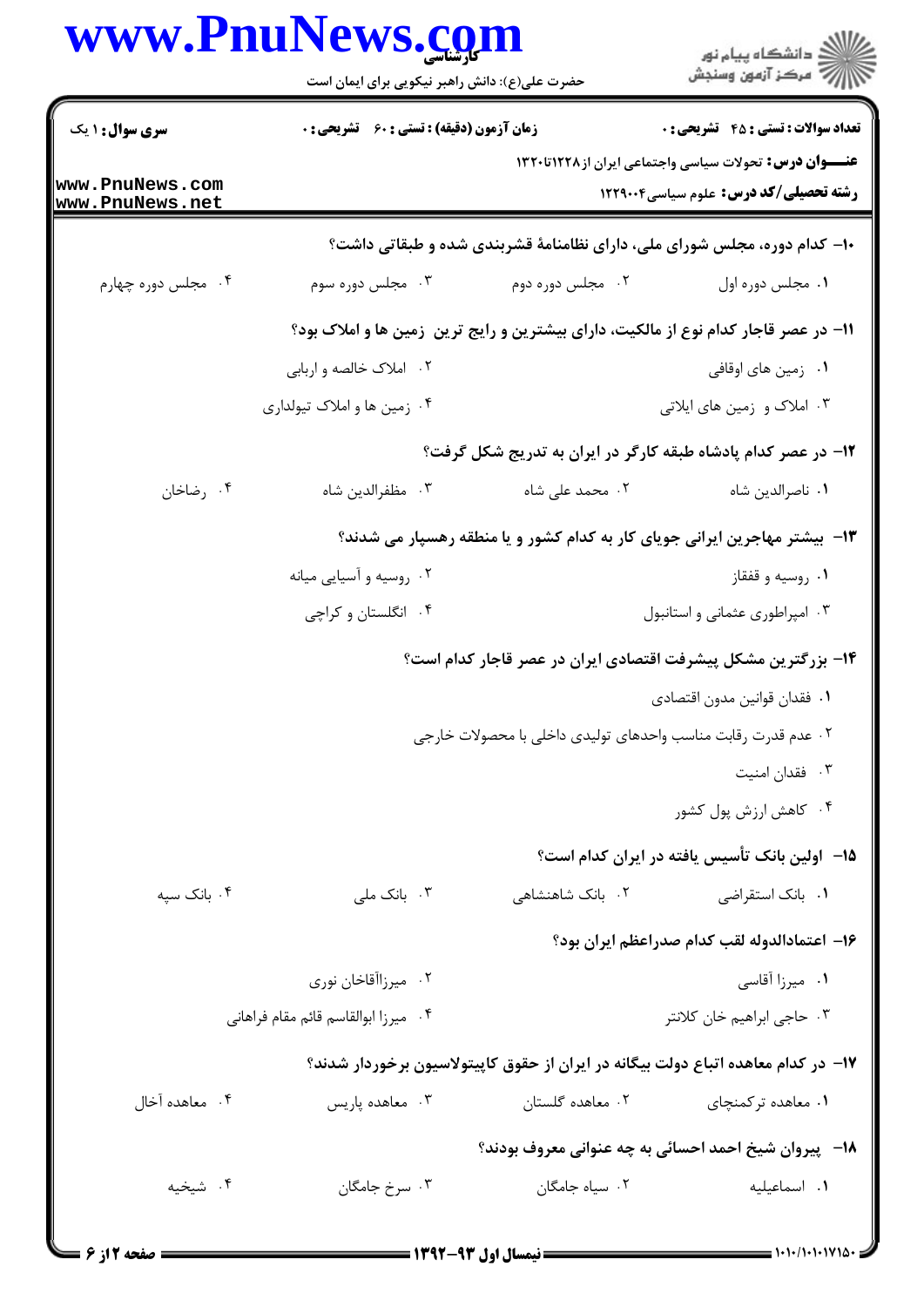|                                    | حضرت علی(ع): دانش راهبر نیکویی برای ایمان است                                         |                                                                                   | ر<br>اگر دانشگاه پيام نور<br>اگر مرکز آزمون وسنجش                                                              |
|------------------------------------|---------------------------------------------------------------------------------------|-----------------------------------------------------------------------------------|----------------------------------------------------------------------------------------------------------------|
| <b>سری سوال : ۱ یک</b>             | زمان آزمون (دقیقه) : تستی : 60 گشریحی : 0                                             |                                                                                   | <b>تعداد سوالات : تستي : 45 - تشريحي : 0</b>                                                                   |
| www.PnuNews.com<br>www.PnuNews.net |                                                                                       |                                                                                   | <b>عنـــوان درس:</b> تحولات سیاسی واجتماعی ایران از ۱۲۲۸تا۱۳۲۰<br><b>رشته تحصیلی/کد درس:</b> علوم سیاسی1۲۲۹۰۰۴ |
|                                    |                                                                                       | ۱۰- کدام دوره، مجلس شورای ملی، دارای نظامنامهٔ قشربندی شده و طبقاتی داشت؟         |                                                                                                                |
| ۰۴ مجلس دوره چهارم                 | ۰۳ مجلس دوره سوم                                                                      | ۰۲ مجلس دوره دوم                                                                  | ۰۱ مجلس دوره اول                                                                                               |
|                                    | 11– در عصر قاجار کدام نوع از مالکیت، دارای بیشترین و رایج ترین ۖ زمین ها و املاک بود؟ |                                                                                   |                                                                                                                |
|                                    | ۰۲ املاک خالصه و اربابي                                                               |                                                                                   | ۰۱ زمین های اوقافی                                                                                             |
|                                    | ۰۴ زمین ها و املاک تیولداری                                                           |                                                                                   | ۰۳ املاک و زمین های ایلاتی                                                                                     |
|                                    |                                                                                       | ۱۲- در عصر کدام پادشاه طبقه کارگر در ایران به تدریج شکل گرفت؟                     |                                                                                                                |
| ۰۴ رضاخان                          | ۰۳ مظفرالدين شاه                                                                      | ۰۲ محمد علی شاه                                                                   | ٠١ ناصرالدين شاه                                                                                               |
|                                    |                                                                                       | ۱۳- بیشتر مهاجرین ایرانی جویای کار به کدام کشور و یا منطقه رهسپار می شدند؟        |                                                                                                                |
|                                    | ۰۲ روسیه و آسیایی میانه                                                               |                                                                                   | ۰۱ روسیه و قفقاز                                                                                               |
|                                    | ۰۴ انگلستان و کراچی                                                                   |                                                                                   | ۰۳ امپراطوری عثمانی و استانبول                                                                                 |
|                                    |                                                                                       | ۱۴– بزرگترین مشکل پیشرفت اقتصادی ایران در عصر قاجار کدام است؟                     |                                                                                                                |
|                                    |                                                                                       |                                                                                   | ٠١. فقدان قوانين مدون اقتصادى                                                                                  |
|                                    |                                                                                       | ۰۲ عدم قدرت رقابت مناسب واحدهای تولیدی داخلی با محصولات خارجی                     |                                                                                                                |
|                                    |                                                                                       |                                                                                   | ۰۳ فقدان امنیت                                                                                                 |
|                                    |                                                                                       |                                                                                   | ۰۴ کاهش ارزش پول کشور                                                                                          |
|                                    |                                                                                       |                                                                                   | ۱۵– اولین بانک تأسیس یافته در ایران کدام است؟                                                                  |
| ۰۴ بانک سپه                        | ۰۳ بانک ملی                                                                           | ٠٢ بانک شاهنشاهی                                                                  | ۰۱ بانک استقراضی                                                                                               |
|                                    |                                                                                       |                                                                                   | ۱۶– اعتمادالدوله لقب كدام صدراعظم ايران بود؟                                                                   |
|                                    | ۰۲ میرزاآقاخان نوری                                                                   |                                                                                   | ۰۱ میرزا آقاسی                                                                                                 |
|                                    | ۰۴ میرزا ابوالقاسم قائم مقام فراهانی                                                  |                                                                                   | ۰۳ حاجي ابراهيم خان كلانتر                                                                                     |
|                                    |                                                                                       | ۱۷– در کدام معاهده اتباع دولت بیگانه در ایران از حقوق کاپیتولاسیون برخوردار شدند؟ |                                                                                                                |
| ۰۴ معاهده آخال                     | ۰۳ معاهده پاریس                                                                       | ۰۲ معاهده گلستان                                                                  | ۰۱ معاهده ترکمنچای                                                                                             |
|                                    |                                                                                       | <b>۱۸</b> - پیروان شیخ احمد احسائی به چه عنوانی معروف بودند؟                      |                                                                                                                |
| ۰۴ شيخيه                           | ۰۳ سرخ جامگان                                                                         | ٠٢ سياه جامگان                                                                    | ٠١. اسماعيليه                                                                                                  |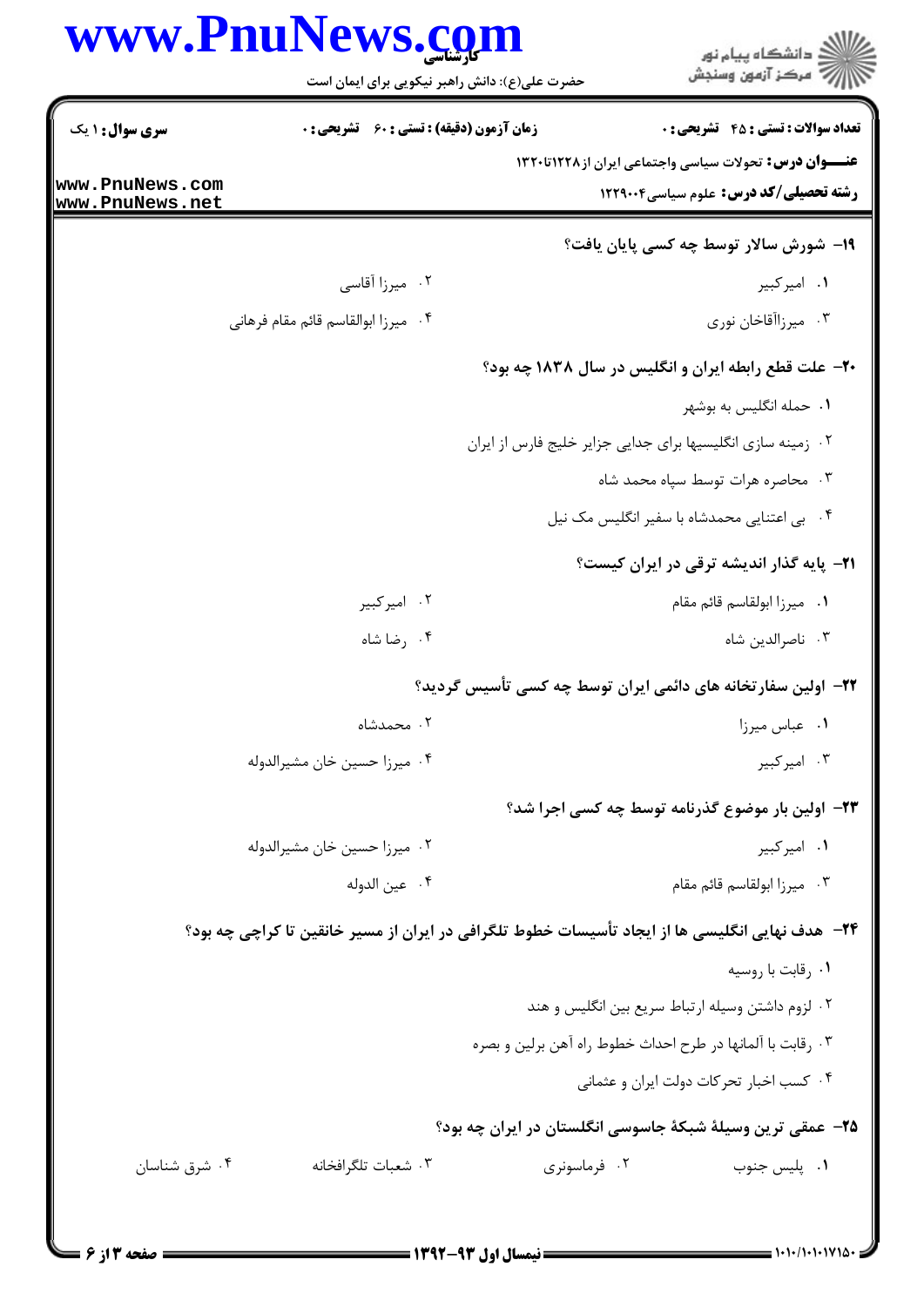|                                    | www.PnuNews.com<br>حضرت علی(ع): دانش راهبر نیکویی برای ایمان است                                |                                                             | ڪ دانشڪاه پيا <sub>م</sub> نور<br>∕ِ <i>"مرڪز</i> آزمون وسنڊش                                           |
|------------------------------------|-------------------------------------------------------------------------------------------------|-------------------------------------------------------------|---------------------------------------------------------------------------------------------------------|
| سری سوال: ۱ یک                     | <b>زمان آزمون (دقیقه) : تستی : 60 ٪ تشریحی : 0</b>                                              |                                                             | <b>تعداد سوالات : تستي : 45 - تشريحي : 0</b>                                                            |
| www.PnuNews.com<br>www.PnuNews.net |                                                                                                 |                                                             | عنـــوان درس: تحولات سیاسی واجتماعی ایران از ۱۲۲۸تا۱۳۲۰<br><b>رشته تحصیلی/کد درس:</b> علوم سیاسی1۲۲۹۰۰۴ |
|                                    |                                                                                                 |                                                             | 19- شورش سالار توسط چه کسی پایان یافت؟                                                                  |
|                                    | ۰۲ میرزا آقاسی                                                                                  |                                                             | ۰۱ امیرکبیر                                                                                             |
|                                    | ۰۴ میرزا ابوالقاسم قائم مقام فرهانی                                                             |                                                             | ۰۳ میرزاآقاخان نوری                                                                                     |
|                                    |                                                                                                 |                                                             | ۲۰– علت قطع رابطه ایران و انگلیس در سال ۱۸۳۸ چه بود؟                                                    |
|                                    |                                                                                                 |                                                             | ۰۱ حمله انگلیس به بوشهر                                                                                 |
|                                    |                                                                                                 | ٢. زمينه سازي انگليسيها براي جدايي جزاير خليج فارس از ايران |                                                                                                         |
|                                    |                                                                                                 |                                                             | ۰۳ محاصره هرات توسط سپاه محمد شاه                                                                       |
|                                    |                                                                                                 |                                                             | ۰۴ بی اعتنایی محمدشاه با سفیر انگلیس مک نیل                                                             |
|                                    |                                                                                                 |                                                             | <b>۲۱</b> - پایه گذار اندیشه ترقی در ایران کیست؟                                                        |
|                                    | ۰۲ امیرکبیر                                                                                     |                                                             | ٠١ ميرزا ابولقاسم قائم مقام                                                                             |
|                                    | ۰۴ رضا شاه                                                                                      |                                                             | ۰۳ ناصرالدين شاه                                                                                        |
|                                    |                                                                                                 |                                                             | ۲۲– اولین سفارتخانه های دائمی ایران توسط چه کسی تأسیس گردید؟                                            |
|                                    | ۰۲ محمدشاه                                                                                      |                                                             | ٠١ عباس ميرزا                                                                                           |
|                                    | ۰۴ ميرزا حسين خان مشيرالدوله                                                                    |                                                             | ۰۳ امیرکبیر                                                                                             |
|                                    |                                                                                                 |                                                             | ۲۳- اولین بار موضوع گذرنامه توسط چه کسی اجرا شد؟                                                        |
|                                    | ٠٢ ميرزا حسين خان مشيرالدوله                                                                    |                                                             | ۰۱ امیرکبیر                                                                                             |
|                                    | ۰۴ عين الدوله                                                                                   |                                                             | ۰۳ میرزا ابولقاسم قائم مقام                                                                             |
|                                    | ۲۴– هدف نهایی انگلیسی ها از ایجاد تأسیسات خطوط تلگرافی در ایران از مسیر خانقین تا کراچی چه بود؟ |                                                             |                                                                                                         |
|                                    |                                                                                                 |                                                             | ٠١ رقابت با روسيه                                                                                       |
|                                    |                                                                                                 |                                                             | ۰۲ لزوم داشتن وسیله ارتباط سریع بین انگلیس و هند                                                        |
|                                    |                                                                                                 |                                                             | ۰۳ رقابت با آلمانها در طرح احداث خطوط راه آهن برلين و بصره                                              |
|                                    |                                                                                                 |                                                             | ۰۴ کسب اخبار تحرکات دولت ایران و عثمانی                                                                 |
|                                    |                                                                                                 |                                                             | ۲۵– عمقی ترین وسیلهٔ شبکهٔ جاسوسی انگلستان در ایران چه بود؟                                             |
| ۰۴ شرق شناسان                      | ۰۳ شعبات تلگرافخانه                                                                             | ۰۲ فرماسونری                                                | ٠١. پليس جنوب                                                                                           |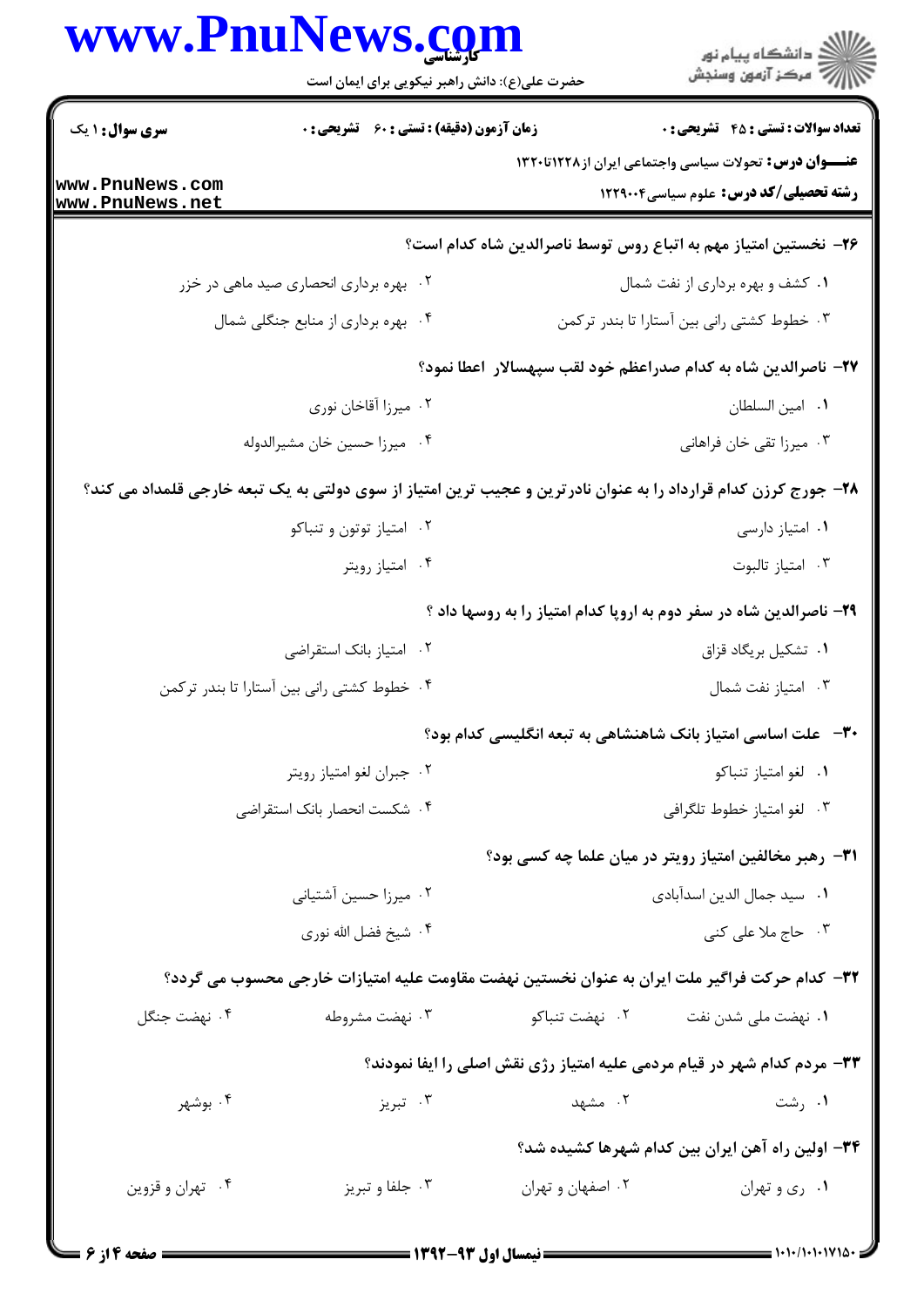|                                    | حضرت علی(ع): دانش راهبر نیکویی برای ایمان است                                                                   |                   | ر<br>راڪ دانشڪاه پيام نور<br>راڪ مرڪز آزمون وسنڊش                                                              |
|------------------------------------|-----------------------------------------------------------------------------------------------------------------|-------------------|----------------------------------------------------------------------------------------------------------------|
| <b>سری سوال : ۱ یک</b>             | زمان آزمون (دقیقه) : تستی : 60 تشریحی : 0                                                                       |                   | <b>تعداد سوالات : تستی : 45 - تشریحی : 0</b>                                                                   |
| www.PnuNews.com<br>www.PnuNews.net |                                                                                                                 |                   | <b>عنـــوان درس:</b> تحولات سیاسی واجتماعی ایران از ۱۲۲۸تا۱۳۲۰<br><b>رشته تحصیلی/کد درس:</b> علوم سیاسی1۲۲۹۰۰۴ |
|                                    |                                                                                                                 |                   | ۲۶– نخستین امتیاز مهم به اتباع روس توسط ناصرالدین شاه کدام است؟                                                |
|                                    | ۰۲ بهره برداری انحصاری صید ماهی در خزر                                                                          |                   | ۰۱ کشف و بهره برداری از نفت شمال                                                                               |
|                                    | ۰۴ بهره برداری از منابع جنگلی شمال                                                                              |                   | ۰۳ خطوط کشتی رانی بین آستارا تا بندر ترکمن                                                                     |
|                                    |                                                                                                                 |                   | ۲۷– ناصرالدین شاه به کدام صدراعظم خود لقب سپهسالار  اعطا نمود؟                                                 |
|                                    | ۰۲ میرزا آقاخان نوری                                                                                            |                   | ٠١. امين السلطان                                                                                               |
|                                    | ۰۴ میرزا حسین خان مشیرالدوله                                                                                    |                   | ۰۳ میرزا تقی خان فراهانی                                                                                       |
|                                    | ۲۸– جورج کرزن کدام قرارداد را به عنوان نادرترین و عجیب ترین امتیاز از سوی دولتی به یک تبعه خارجی قلمداد می کند؟ |                   |                                                                                                                |
|                                    | ۰۲ امتیاز توتون و تنباکو                                                                                        |                   | ٠١ امتياز دارسى                                                                                                |
|                                    | ۰۴ امتياز رويتر                                                                                                 |                   | ۰۳ امتياز تالبوت                                                                                               |
|                                    |                                                                                                                 |                   | ۲۹- ناصرالدین شاه در سفر دوم به اروپا کدام امتیاز را به روسها داد ؟                                            |
|                                    | ۰۲ امتیاز بانک استقراضی                                                                                         |                   | ٠١ تشكيل بريگاد قزاق                                                                                           |
|                                    | ۰۴ خطوط کشتی رانی بین آستارا تا بندر ترکمن                                                                      |                   | ۰۳ امتياز نفت شمال                                                                                             |
|                                    |                                                                                                                 |                   | <b>۳۰</b> – علت اساسی امتیاز بانک شاهنشاهی به تبعه انگلیسی کدام بود؟                                           |
|                                    | ۰۲ جبران لغو امتياز رويتر                                                                                       |                   | ٠١ لغو امتياز تنباكو                                                                                           |
|                                    | ۰۴ شکست انحصار بانک استقراضی                                                                                    |                   | ۰۳ لغو امتياز خطوط تلگرافي                                                                                     |
|                                    |                                                                                                                 |                   | <b>۳۱</b> - رهبر مخالفین امتیاز رویتر در میان علما چه کسی بود؟                                                 |
|                                    | ۰۲ میرزا حسین آشتیانی                                                                                           |                   | ٠١ سيد جمال الدين اسدآبادي                                                                                     |
|                                    | ۰۴ شيخ فضل الله نوري                                                                                            |                   | ۰۳ حاج ملا علی کنی                                                                                             |
|                                    | ٣٢- كدام حركت فراگير ملت ايران به عنوان نخستين نهضت مقاومت عليه امتيازات خارجي محسوب مي گردد؟                   |                   |                                                                                                                |
| ۰۴ نهضت جنگل                       | ۰۳ نهضت مشروطه                                                                                                  | ۰۲ نهضت تنباکو    | ۰۱ نهضت ملی شدن نفت                                                                                            |
|                                    |                                                                                                                 |                   | ۳۳- مردم کدام شهر در قیام مردمی علیه امتیاز رژی نقش اصلی را ایفا نمودند؟                                       |
| ۰۴ بوشهر                           | ۰۳ تېريز                                                                                                        | ۲. مشهد           | ۰۱ رشت                                                                                                         |
|                                    |                                                                                                                 |                   | ۳۴– اولین راه آهن ایران بین کدام شهرها کشیده شد؟                                                               |
| ۰۴ تهران و قزوين                   | ۰۳ جلفا و تبریز                                                                                                 | ۰۲ اصفهان و تهران | ۰۱ ری و تهران                                                                                                  |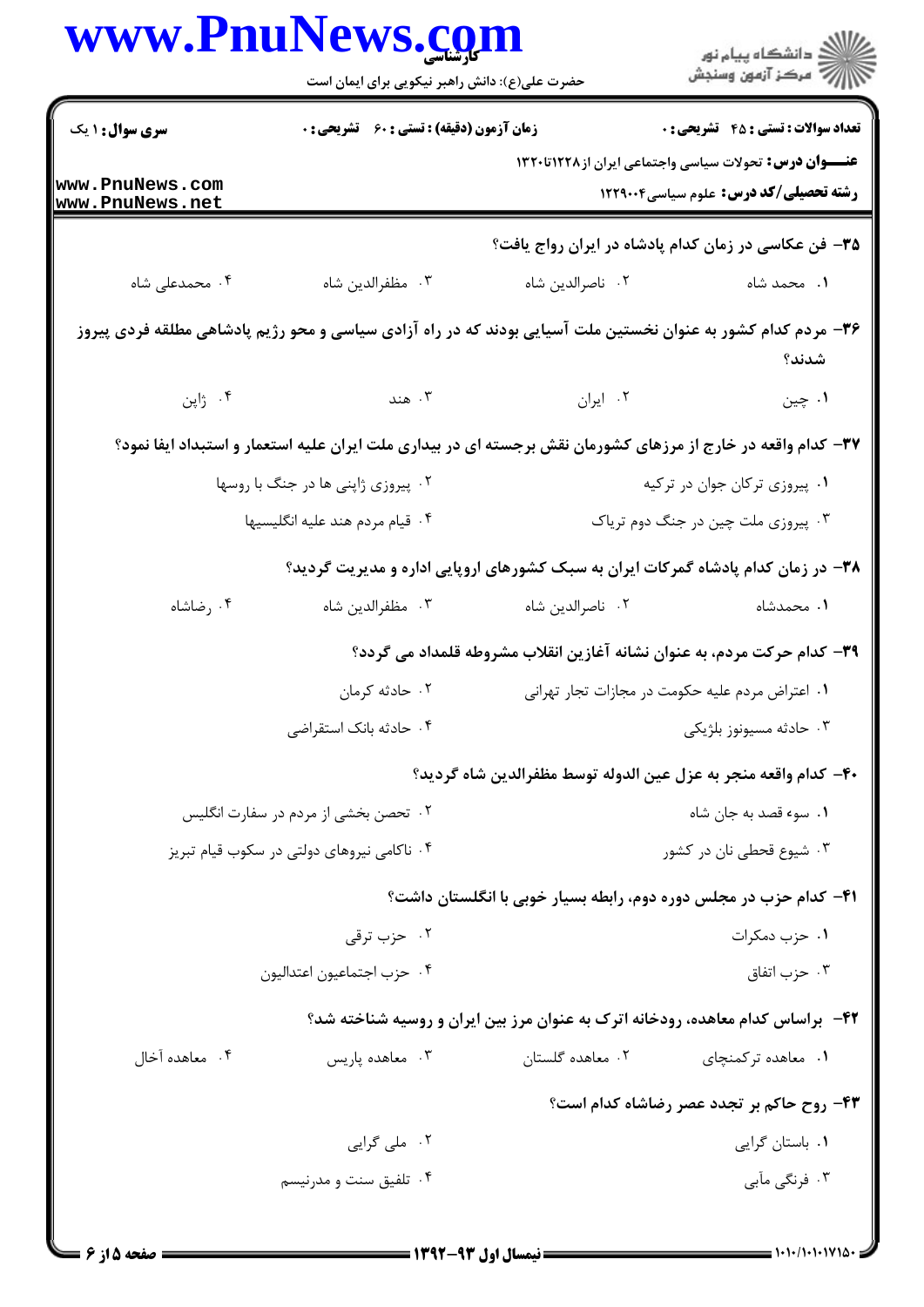| www.PnuNews.com                    | حضرت علی(ع): دانش راهبر نیکویی برای ایمان است    |                                                                                                               | ڪ دانشڪاه پيام نور<br><mark>ر</mark> ⊽ مرڪز آزمون وسنڊش |
|------------------------------------|--------------------------------------------------|---------------------------------------------------------------------------------------------------------------|---------------------------------------------------------|
| <b>سری سوال : ۱ یک</b>             | <b>زمان آزمون (دقیقه) : تستی : 60 گشریحی : 0</b> |                                                                                                               | <b>تعداد سوالات : تستي : 45 تشريحي : 0</b>              |
| www.PnuNews.com<br>www.PnuNews.net |                                                  | <b>عنـــوان درس:</b> تحولات سیاسی واجتماعی ایران از ۱۲۲۸تا۱۳۲۰                                                | <b>رشته تحصیلی/کد درس:</b> علوم سیاسی1۲۲۹۰۰۴            |
|                                    |                                                  | ۳۵- فن عکاسی در زمان کدام پادشاه در ایران رواج یافت؟                                                          |                                                         |
| ۰۴ محمدعلی شاه                     | ۰۳ مظفرالدين شاه                                 | ٠٢ ناصرالدين شاه                                                                                              | ۰۱ محمد شاه                                             |
|                                    |                                                  | ۳۶– مردم کدام کشور به عنوان نخستین ملت آسیایی بودند که در راه آزادی سیاسی و محو رژیم پادشاهی مطلقه فردی پیروز | شدند؟                                                   |
| ۰۴ ژاپن                            | ۰۳ هند                                           | ۰۲ ایران                                                                                                      | ۰۱ چين                                                  |
|                                    |                                                  | ۳۷– کدام واقعه در خارج از مرزهای کشورمان نقش برجسته ای در بیداری ملت ایران علیه استعمار و استبداد ایفا نمود؟  |                                                         |
|                                    | ۰۲ پیروزی ژاپنی ها در جنگ با روسها               | ۰۱ پیروزی ترکان جوان در ترکیه                                                                                 |                                                         |
|                                    | ۰۴ قیام مردم هند علیه انگلیسیها                  | ۰۳ پیروزی ملت چین در جنگ دوم تریاک                                                                            |                                                         |
|                                    |                                                  | ۳۸– در زمان کدام پادشاه گمرکات ایران به سبک کشورهای اروپایی اداره و مدیریت گردید؟                             |                                                         |
| ۰۴ رضاشاه                          | ۰۳ مظفرالدين شاه                                 | ٠٢ ناصرالدين شاه                                                                                              | ۰۱ محمدشاه                                              |
|                                    |                                                  | ٣٩- كدام حركت مردم، به عنوان نشانه آغازين انقلاب مشروطه قلمداد مي گردد؟                                       |                                                         |
|                                    | ۰۲ حادثه کرمان                                   | ۰۱ اعتراض مردم عليه حكومت در مجازات تجار تهراني                                                               |                                                         |
|                                    | ۰۴ حادثه بانک استقراضی                           |                                                                                                               | ۰۳ حادثه مسيونوز بلژيکي                                 |
|                                    |                                                  | ۴۰– كدام واقعه منجر به عزل عين الدوله توسط مظفرالدين شاه گرديد؟                                               |                                                         |
|                                    | ۰۲ تحصن بخشی از مردم در سفارت انگلیس             |                                                                                                               | ٠١ سوء قصد به جان شاه                                   |
|                                    | ۰۴ ناکامی نیروهای دولتی در سکوب قیام تبریز       |                                                                                                               | ۰۳ شیوع قحطی نان در کشور                                |
|                                    |                                                  | ۴۱– کدام حزب در مجلس دوره دوم، رابطه بسیار خوبی با انگلستان داشت؟                                             |                                                         |
|                                    | ۰۲ حزب ترق <i>ی</i>                              |                                                                                                               | ۰۱ حزب دمکرات                                           |
|                                    | ۰۴ حزب اجتماعيون اعتداليون                       |                                                                                                               | ۰۳ حزب اتفاق                                            |
|                                    |                                                  | ۴۲- براساس کدام معاهده، رودخانه اترک به عنوان مرز بین ایران و روسیه شناخته شد؟                                |                                                         |
| ۰۴ معاهده آخال                     | ۰۳ معاهده پاریس                                  | ۰۲ معاهده گلستان                                                                                              | ۰۱ معاهده ترکمنچای                                      |
|                                    |                                                  |                                                                                                               | ۴۳- روح حاکم بر تجدد عصر رضاشاه کدام است؟               |
|                                    | ۰۲ ملی گرایی                                     |                                                                                                               | ۰۱ باستان گرایی                                         |
|                                    | ۰۴ تلفیق سنت و مدرنیسم                           |                                                                                                               | ۰۳ فرنگی مآبی                                           |
|                                    |                                                  |                                                                                                               |                                                         |